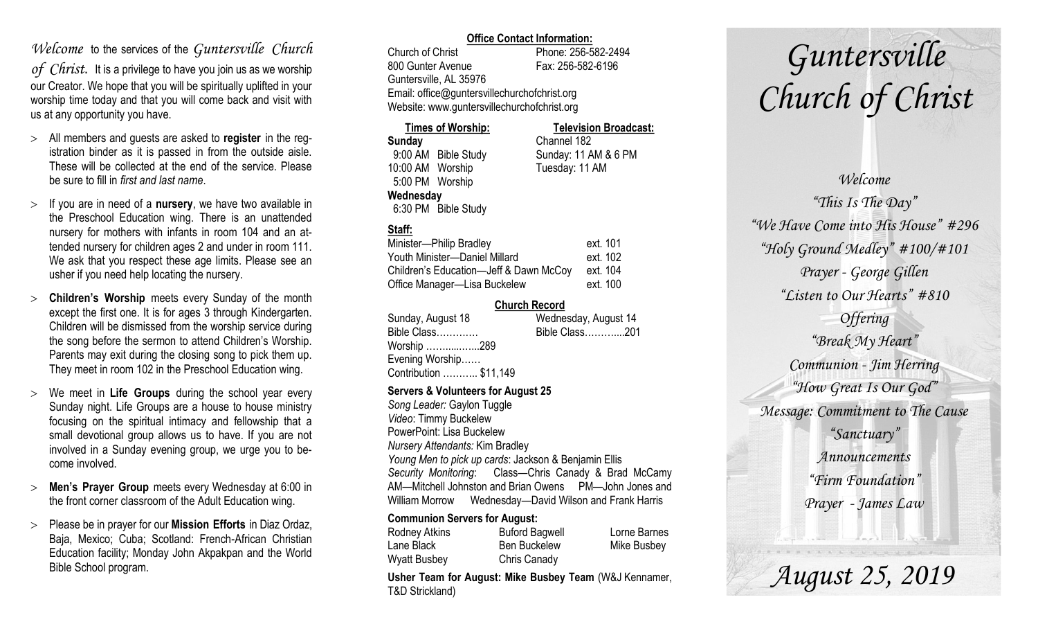### *Welcome* to the services of the *Guntersville Church*

*of Christ*. It is a privilege to have you join us as we worship our Creator. We hope that you will be spiritually uplifted in your worship time today and that you will come back and visit with us at any opportunity you have.

- All members and guests are asked to **register** in the registration binder as it is passed in from the outside aisle. These will be collected at the end of the service. Please be sure to fill in *first and last name*.
- $>$  If you are in need of a **nursery**, we have two available in the Preschool Education wing. There is an unattended nursery for mothers with infants in room 104 and an attended nursery for children ages 2 and under in room 111. We ask that you respect these age limits. Please see an usher if you need help locating the nursery.
- **Children's Worship** meets every Sunday of the month except the first one. It is for ages 3 through Kindergarten. Children will be dismissed from the worship service during the song before the sermon to attend Children's Worship. Parents may exit during the closing song to pick them up. They meet in room 102 in the Preschool Education wing.
- We meet in **Life Groups** during the school year every Sunday night. Life Groups are a house to house ministry focusing on the spiritual intimacy and fellowship that a small devotional group allows us to have. If you are not involved in a Sunday evening group, we urge you to become involved.
- **Men's Prayer Group** meets every Wednesday at 6:00 in the front corner classroom of the Adult Education wing.
- Please be in prayer for our **Mission Efforts** in Diaz Ordaz, Baja, Mexico; Cuba; Scotland: French-African Christian Education facility; Monday John Akpakpan and the World Bible School program.

#### **Office Contact Information:**

Church of Christ Phone: 256-582-2494 800 Gunter Avenue Fax: 256-582-6196 Guntersville, AL 35976 Email: office@guntersvillechurchofchrist.org Website: www.guntersvillechurchofchrist.org

| <b>Times of Worship:</b> |                     | <b>Television Broadcast:</b> |  |
|--------------------------|---------------------|------------------------------|--|
| Sunday                   |                     | Channel 182                  |  |
|                          | 9:00 AM Bible Study | Sunday: 11 AM & 6 PM         |  |
| 10:00 AM Worship         |                     | Tuesday: 11 AM               |  |
| 5:00 PM Worship          |                     |                              |  |
| Wednesday                |                     |                              |  |
|                          | 6:30 PM Bible Study |                              |  |

#### **Staff:**

| Minister-Philip Bradley                | ext. 101 |
|----------------------------------------|----------|
| Youth Minister--Daniel Millard         | ext. 102 |
| Children's Education-Jeff & Dawn McCoy | ext. 104 |
| Office Manager—Lisa Buckelew           | ext. 100 |

#### **Church Record**

| Sunday, August 18      | Wednesday, August 14 |
|------------------------|----------------------|
| Bible Class            | Bible Class201       |
| Worship 289            |                      |
| Evening Worship        |                      |
| Contribution  \$11,149 |                      |
|                        |                      |

#### **Servers & Volunteers for August 25**

*Song Leader:* Gaylon Tuggle *Video*: Timmy Buckelew PowerPoint: Lisa Buckelew *Nursery Attendants:* Kim Bradley *Young Men to pick up cards*: Jackson & Benjamin Ellis *Security Monitoring*: Class—Chris Canady & Brad McCamy AM—Mitchell Johnston and Brian Owens PM—John Jones and William Morrow Wednesday—David Wilson and Frank Harris

#### **Communion Servers for August:**

| Rodney Atkins       | <b>Buford Bagwell</b> | Lorne Barnes |
|---------------------|-----------------------|--------------|
| Lane Black          | <b>Ben Buckelew</b>   | Mike Busbey  |
| <b>Wyatt Busbey</b> | Chris Canady          |              |

**Usher Team for August: Mike Busbey Team** (W&J Kennamer, T&D Strickland)

# *Guntersville Church of Christ*

*Welcome "This Is The Day" "We Have Come into His House" #296 "Holy Ground Medley" #100/#101 Prayer - George Gillen "Listen to Our Hearts" #810 Offering "Break My Heart" Communion - Jim Herring "How Great Is Our God" Message: Commitment to The Cause "Sanctuary" Announcements "Firm Foundation" Prayer - James Law*

*August 25, 2019*